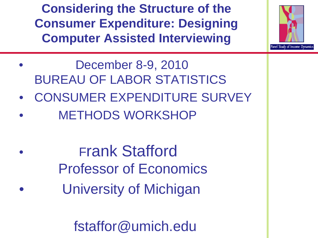**Considering the Structure of the Consumer Expenditure: Designing Computer Assisted Interviewing**



- CONSUMER EXPENDITURE SURVEY **METHODS WORKSHOP**
- Frank Stafford Professor of Economics University of Michigan

fstaffor@umich.edu

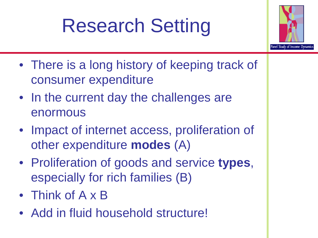# Research Setting



- There is a long history of keeping track of consumer expenditure
- In the current day the challenges are enormous
- Impact of internet access, proliferation of other expenditure **modes** (A)
- Proliferation of goods and service **types**, especially for rich families (B)
- Think of A x B
- Add in fluid household structure!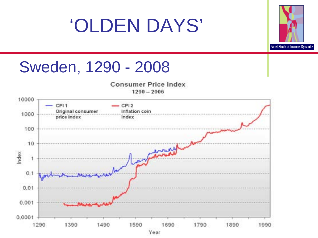## 'OLDEN DAYS'



## Sweden, 1290 - 2008



 $1290 - 2006$ 

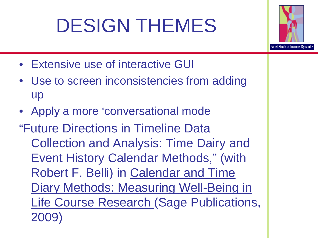# DESIGN THEMES



- Extensive use of interactive GUI
- Use to screen inconsistencies from adding up
- Apply a more 'conversational mode

"Future Directions in Timeline Data Collection and Analysis: Time Dairy and Event History Calendar Methods," (with Robert F. Belli) in Calendar and Time Diary Methods: Measuring Well-Being in Life Course Research (Sage Publications, 2009)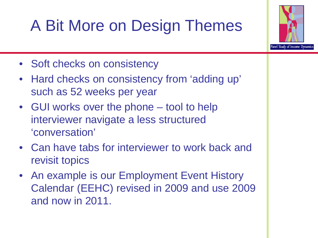## A Bit More on Design Themes



- Soft checks on consistency
- Hard checks on consistency from 'adding up' such as 52 weeks per year
- GUI works over the phone tool to help interviewer navigate a less structured 'conversation'
- Can have tabs for interviewer to work back and revisit topics
- An example is our Employment Event History Calendar (EEHC) revised in 2009 and use 2009 and now in 2011.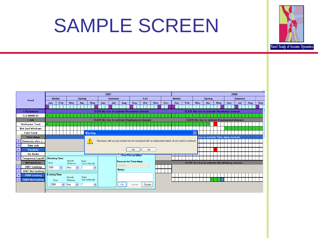## SAMPLE SCREEN



|                       |                         |                                                    |                                                     |              |                  |              |              | 2007          |                         |     |                                  |     |                                                     |                                                                                                        |        |            |            |  | 2008          |     |     |               |                                               |  |     |     |  |     |     |  |     |
|-----------------------|-------------------------|----------------------------------------------------|-----------------------------------------------------|--------------|------------------|--------------|--------------|---------------|-------------------------|-----|----------------------------------|-----|-----------------------------------------------------|--------------------------------------------------------------------------------------------------------|--------|------------|------------|--|---------------|-----|-----|---------------|-----------------------------------------------|--|-----|-----|--|-----|-----|--|-----|
| Head                  |                         | Winter                                             |                                                     |              | Spring           |              |              | <b>Summer</b> |                         |     | Fall                             |     |                                                     |                                                                                                        | Winter |            |            |  | <b>Spring</b> |     |     | <b>Summer</b> |                                               |  |     |     |  |     |     |  |     |
|                       |                         |                                                    | Jan                                                 | Feb          | Mar              |              | Apr          |               | May                     | Jun |                                  | Jul | Aug                                                 | Sep                                                                                                    | Oct    | <b>Nov</b> | <b>Dec</b> |  | Jan           | Feb | Mar |               | Apr                                           |  | May | Jun |  | Jul | Aug |  | Sep |
|                       |                         |                                                    |                                                     |              |                  |              |              |               |                         |     |                                  |     |                                                     |                                                                                                        |        |            |            |  |               |     |     |               |                                               |  |     |     |  |     |     |  |     |
|                       | + Residence             | <b>CLICK</b> this bar to activate Residence domain |                                                     |              |                  |              |              |               |                         |     |                                  |     |                                                     | <b>CLICK</b> this bar to activate Residence domain                                                     |        |            |            |  |               |     |     |               |                                               |  |     |     |  |     |     |  |     |
|                       | 123 MAIN ST             |                                                    |                                                     |              |                  |              |              |               |                         |     |                                  |     |                                                     |                                                                                                        |        |            |            |  |               |     |     |               |                                               |  |     |     |  |     |     |  |     |
|                       | $+$ Job                 |                                                    | <b>CLICK</b> this bar to activate Employment domain |              |                  |              |              |               |                         |     |                                  |     | <b>CLICK</b> this bar to activate Employment domain |                                                                                                        |        |            |            |  |               |     |     |               |                                               |  |     |     |  |     |     |  |     |
| <b>Wellcome Trust</b> |                         |                                                    |                                                     |              |                  |              |              |               |                         |     |                                  |     |                                                     |                                                                                                        |        |            |            |  |               |     |     |               |                                               |  |     |     |  |     |     |  |     |
| Not Just Windows      |                         |                                                    |                                                     |              |                  |              |              |               |                         |     |                                  |     |                                                     |                                                                                                        |        |            |            |  |               |     |     |               |                                               |  |     |     |  |     |     |  |     |
|                       | <b>Fast Track</b>       |                                                    |                                                     |              |                  |              |              |               | <b>Warning</b>          |     |                                  |     |                                                     |                                                                                                        |        |            |            |  |               |     |     |               |                                               |  |     |     |  |     |     |  |     |
|                       | <b>Time Away</b>        |                                                    |                                                     |              |                  |              |              |               |                         |     | bar to activate Time Away domain |     |                                                     |                                                                                                        |        |            |            |  |               |     |     |               |                                               |  |     |     |  |     |     |  |     |
|                       | Someone else s          |                                                    |                                                     |              |                  |              |              |               | <u>4</u>                |     |                                  |     |                                                     | Time Away cells you just entered do not correspond with an employment period, do you want to continue? |        |            |            |  |               |     |     |               |                                               |  |     |     |  |     |     |  |     |
| ÷                     | Own sick                |                                                    |                                                     |              |                  |              |              |               |                         |     |                                  |     |                                                     |                                                                                                        |        |            |            |  |               |     |     |               |                                               |  |     |     |  |     |     |  |     |
| $\ddot{}$             | Vacation                |                                                    |                                                     |              |                  |              |              |               |                         |     |                                  |     |                                                     | Yes                                                                                                    | No     |            |            |  |               |     |     |               |                                               |  |     |     |  |     |     |  |     |
| ÷                     | On Strike               |                                                    |                                                     |              |                  |              |              |               |                         |     |                                  |     |                                                     | Don't Know When                                                                                        |        |            |            |  |               |     |     |               |                                               |  |     |     |  |     |     |  |     |
|                       | <b>Temporary Layoff</b> | <b>Starting Time</b>                               |                                                     |              |                  |              |              |               |                         |     |                                  |     |                                                     |                                                                                                        |        |            |            |  |               |     |     |               |                                               |  |     |     |  |     |     |  |     |
|                       | Not Working             | Year                                               |                                                     |              | Month<br>/Season |              |              | Day/          | 3rd of Month            |     |                                  |     |                                                     | Reason for Time Away                                                                                   |        |            |            |  |               |     |     |               | CLICK this bar to activate Not Working domain |  |     |     |  |     |     |  |     |
| $\bullet$             | 2007 Looking            | 2008                                               |                                                     | $\checkmark$ | May              | $\checkmark$ | 2            |               | v                       |     |                                  |     | Vacation                                            |                                                                                                        | $\vee$ |            |            |  |               |     |     |               |                                               |  |     |     |  |     |     |  |     |
|                       | 2007 Not looking        |                                                    |                                                     |              |                  |              |              |               |                         |     |                                  |     | <b>Notes</b>                                        |                                                                                                        |        |            |            |  |               |     |     |               |                                               |  |     |     |  |     |     |  |     |
| $\ddot{}$             | 2008 Looking            | <b>Ending Time</b>                                 |                                                     |              |                  |              |              |               |                         |     |                                  |     |                                                     |                                                                                                        |        |            |            |  |               |     |     |               |                                               |  |     |     |  |     |     |  |     |
| $\ddot{\phantom{1}}$  | 2008 Not looking        |                                                    | Year                                                |              | Month<br>/Season |              |              | Day/          | 3rd of Month            |     |                                  |     |                                                     |                                                                                                        |        |            |            |  |               |     |     |               |                                               |  |     |     |  |     |     |  |     |
|                       |                         |                                                    | 2008                                                | ×            | May              | $\checkmark$ | $\mathsf{I}$ |               | $\overline{\mathbf{v}}$ |     |                                  |     | OK.                                                 | Cancel                                                                                                 | Delete |            |            |  |               |     |     |               |                                               |  |     |     |  |     |     |  |     |
|                       |                         |                                                    |                                                     |              |                  |              |              |               |                         |     |                                  |     |                                                     |                                                                                                        |        |            |            |  |               |     |     |               |                                               |  |     |     |  |     |     |  |     |
|                       |                         |                                                    |                                                     |              |                  |              |              |               |                         |     |                                  |     |                                                     |                                                                                                        |        |            |            |  |               |     |     |               |                                               |  |     |     |  |     |     |  |     |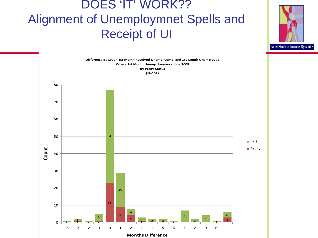#### DOES 'IT' WORK?? Alignment of Unemploymnet Spells and Receipt of UI



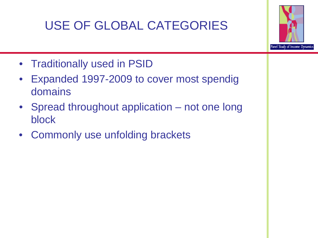## USE OF GLOBAL CATEGORIES



- Traditionally used in PSID
- Expanded 1997-2009 to cover most spendig domains
- Spread throughout application not one long block
- Commonly use unfolding brackets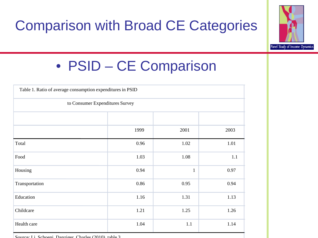



## • PSID – CE Comparison

| Table 1. Ratio of average consumption expenditures in PSID |      |              |      |  |  |  |  |  |  |  |  |
|------------------------------------------------------------|------|--------------|------|--|--|--|--|--|--|--|--|
| to Consumer Expenditures Survey                            |      |              |      |  |  |  |  |  |  |  |  |
|                                                            |      |              |      |  |  |  |  |  |  |  |  |
|                                                            | 1999 | 2001         | 2003 |  |  |  |  |  |  |  |  |
| Total                                                      | 0.96 | 1.02         | 1.01 |  |  |  |  |  |  |  |  |
| Food                                                       | 1.03 | 1.08         | 1.1  |  |  |  |  |  |  |  |  |
| Housing                                                    | 0.94 | $\mathbf{1}$ | 0.97 |  |  |  |  |  |  |  |  |
| Transportation                                             | 0.86 | 0.95         | 0.94 |  |  |  |  |  |  |  |  |
| Education                                                  | 1.16 | 1.31         | 1.13 |  |  |  |  |  |  |  |  |
| Childcare                                                  | 1.21 | 1.25         | 1.26 |  |  |  |  |  |  |  |  |
| Health care                                                | 1.04 | 1.1          | 1.14 |  |  |  |  |  |  |  |  |

Source: Li Schoeni Danziger Charles (2010) table 3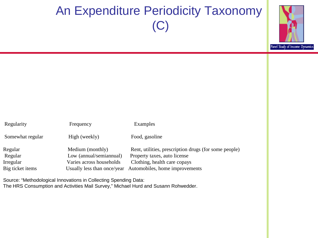## An Expenditure Periodicity Taxonomy (C)



| Regularity       | Frequency                   | Examples                                              |
|------------------|-----------------------------|-------------------------------------------------------|
| Somewhat regular | High (weekly)               | Food, gasoline                                        |
| Regular          | Medium (monthly)            | Rent, utilities, prescription drugs (for some people) |
| Regular          | Low (annual/semiannual)     | Property taxes, auto license                          |
| Irregular        | Varies across households    | Clothing, health care copays                          |
| Big ticket items | Usually less than once/year | Automobiles, home improvements                        |
|                  |                             |                                                       |

Source: "Methodological Innovations in Collecting Spending Data: The HRS Consumption and Activities Mail Survey," Michael Hurd and Susann Rohwedder.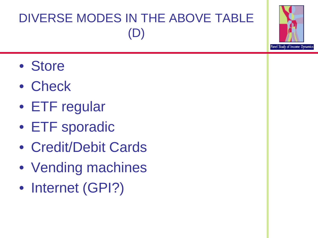## DIVERSE MODES IN THE ABOVE TABLE (D)

- Store
- Check
- ETF regular
- ETF sporadic
- Credit/Debit Cards
- Vending machines
- Internet (GPI?)

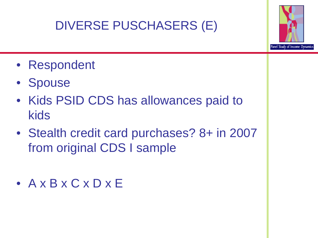## DIVERSE PUSCHASERS (E)



- Respondent
- Spouse
- Kids PSID CDS has allowances paid to kids
- Stealth credit card purchases? 8+ in 2007 from original CDS I sample
- A x B x C x D x E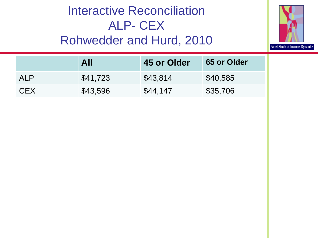#### Interactive Reconciliation ALP- CEX Rohwedder and Hurd, 2010



|            | All      | 45 or Older | 65 or Older |
|------------|----------|-------------|-------------|
| ALP        | \$41,723 | \$43,814    | \$40,585    |
| <b>CEX</b> | \$43,596 | \$44,147    | \$35,706    |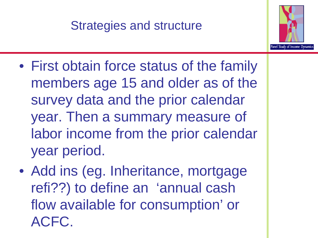### Strategies and structure



- First obtain force status of the family members age 15 and older as of the survey data and the prior calendar year. Then a summary measure of labor income from the prior calendar year period.
- Add ins (eg. Inheritance, mortgage refi??) to define an 'annual cash flow available for consumption' or ACFC.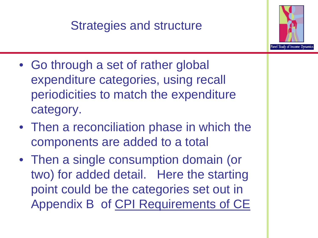### Strategies and structure



- Go through a set of rather global expenditure categories, using recall periodicities to match the expenditure category.
- Then a reconciliation phase in which the components are added to a total
- Then a single consumption domain (or two) for added detail. Here the starting point could be the categories set out in Appendix B of CPI Requirements of CE